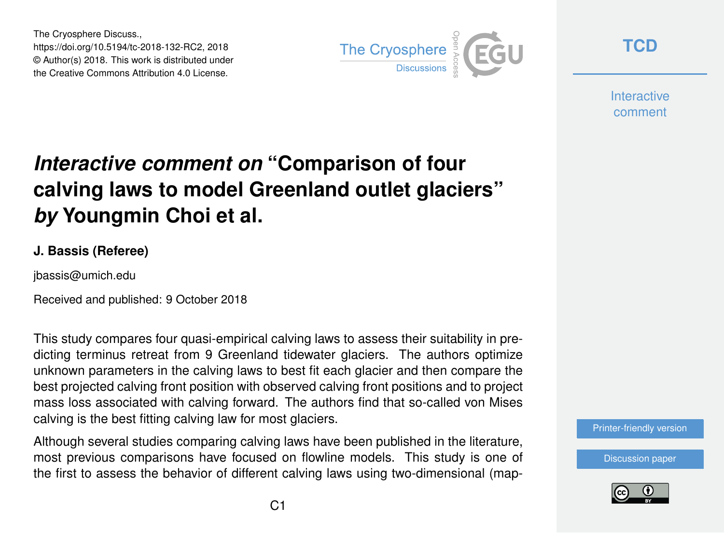The Cryosphere Discuss., https://doi.org/10.5194/tc-2018-132-RC2, 2018 © Author(s) 2018. This work is distributed under the Creative Commons Attribution 4.0 License.



**[TCD](https://www.the-cryosphere-discuss.net/)**

**Interactive** comment

# *Interactive comment on* **"Comparison of four calving laws to model Greenland outlet glaciers"** *by* **Youngmin Choi et al.**

#### **J. Bassis (Referee)**

jbassis@umich.edu

Received and published: 9 October 2018

This study compares four quasi-empirical calving laws to assess their suitability in predicting terminus retreat from 9 Greenland tidewater glaciers. The authors optimize unknown parameters in the calving laws to best fit each glacier and then compare the best projected calving front position with observed calving front positions and to project mass loss associated with calving forward. The authors find that so-called von Mises calving is the best fitting calving law for most glaciers.

Although several studies comparing calving laws have been published in the literature, most previous comparisons have focused on flowline models. This study is one of the first to assess the behavior of different calving laws using two-dimensional (map-



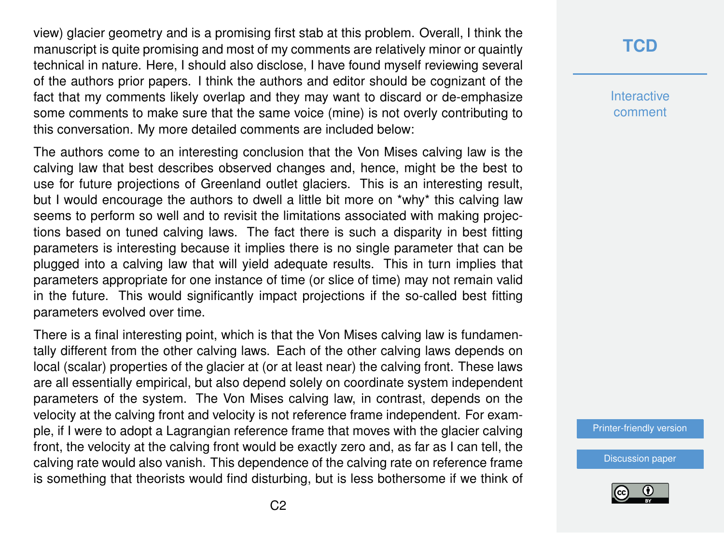view) glacier geometry and is a promising first stab at this problem. Overall, I think the manuscript is quite promising and most of my comments are relatively minor or quaintly technical in nature. Here, I should also disclose, I have found myself reviewing several of the authors prior papers. I think the authors and editor should be cognizant of the fact that my comments likely overlap and they may want to discard or de-emphasize some comments to make sure that the same voice (mine) is not overly contributing to this conversation. My more detailed comments are included below:

The authors come to an interesting conclusion that the Von Mises calving law is the calving law that best describes observed changes and, hence, might be the best to use for future projections of Greenland outlet glaciers. This is an interesting result, but I would encourage the authors to dwell a little bit more on \*why\* this calving law seems to perform so well and to revisit the limitations associated with making projections based on tuned calving laws. The fact there is such a disparity in best fitting parameters is interesting because it implies there is no single parameter that can be plugged into a calving law that will yield adequate results. This in turn implies that parameters appropriate for one instance of time (or slice of time) may not remain valid in the future. This would significantly impact projections if the so-called best fitting parameters evolved over time.

There is a final interesting point, which is that the Von Mises calving law is fundamentally different from the other calving laws. Each of the other calving laws depends on local (scalar) properties of the glacier at (or at least near) the calving front. These laws are all essentially empirical, but also depend solely on coordinate system independent parameters of the system. The Von Mises calving law, in contrast, depends on the velocity at the calving front and velocity is not reference frame independent. For example, if I were to adopt a Lagrangian reference frame that moves with the glacier calving front, the velocity at the calving front would be exactly zero and, as far as I can tell, the calving rate would also vanish. This dependence of the calving rate on reference frame is something that theorists would find disturbing, but is less bothersome if we think of

## **[TCD](https://www.the-cryosphere-discuss.net/)**

**Interactive** comment

[Printer-friendly version](https://www.the-cryosphere-discuss.net/tc-2018-132/tc-2018-132-RC2-print.pdf)

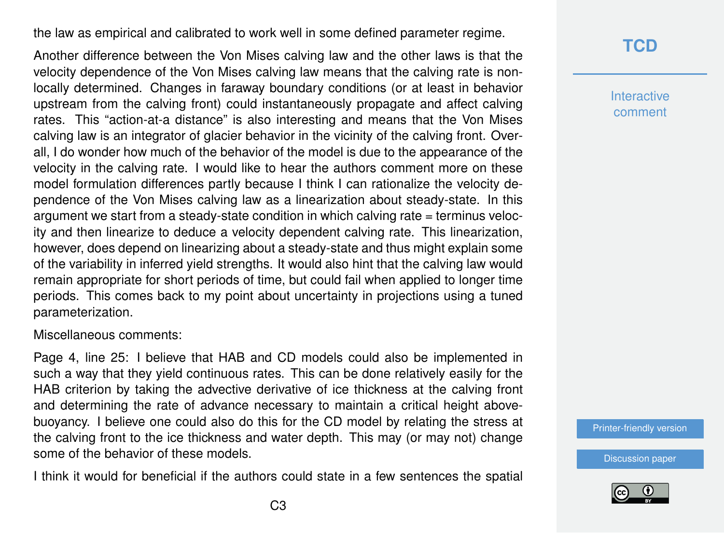the law as empirical and calibrated to work well in some defined parameter regime.

Another difference between the Von Mises calving law and the other laws is that the velocity dependence of the Von Mises calving law means that the calving rate is nonlocally determined. Changes in faraway boundary conditions (or at least in behavior upstream from the calving front) could instantaneously propagate and affect calving rates. This "action-at-a distance" is also interesting and means that the Von Mises calving law is an integrator of glacier behavior in the vicinity of the calving front. Overall, I do wonder how much of the behavior of the model is due to the appearance of the velocity in the calving rate. I would like to hear the authors comment more on these model formulation differences partly because I think I can rationalize the velocity dependence of the Von Mises calving law as a linearization about steady-state. In this argument we start from a steady-state condition in which calving rate = terminus velocity and then linearize to deduce a velocity dependent calving rate. This linearization, however, does depend on linearizing about a steady-state and thus might explain some of the variability in inferred yield strengths. It would also hint that the calving law would remain appropriate for short periods of time, but could fail when applied to longer time periods. This comes back to my point about uncertainty in projections using a tuned parameterization.

Miscellaneous comments:

Page 4, line 25: I believe that HAB and CD models could also be implemented in such a way that they yield continuous rates. This can be done relatively easily for the HAB criterion by taking the advective derivative of ice thickness at the calving front and determining the rate of advance necessary to maintain a critical height abovebuoyancy. I believe one could also do this for the CD model by relating the stress at the calving front to the ice thickness and water depth. This may (or may not) change some of the behavior of these models.

I think it would for beneficial if the authors could state in a few sentences the spatial

## **[TCD](https://www.the-cryosphere-discuss.net/)**

**Interactive** comment

[Printer-friendly version](https://www.the-cryosphere-discuss.net/tc-2018-132/tc-2018-132-RC2-print.pdf)